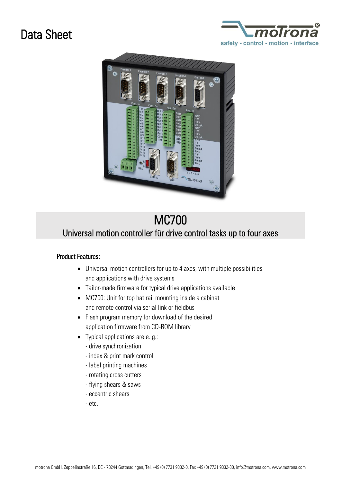## Data Sheet





## MC700 Universal motion controller für drive control tasks up to four axes

## Product Features:

- Universal motion controllers for up to 4 axes, with multiple possibilities and applications with drive systems
- Tailor-made firmware for typical drive applications available
- MC700: Unit for top hat rail mounting inside a cabinet and remote control via serial link or fieldbus
- Flash program memory for download of the desired application firmware from CD-ROM library
- Typical applications are e. g.:
	- drive synchronization
	- index & print mark control
	- label printing machines
	- rotating cross cutters
	- flying shears & saws
	- eccentric shears
	- etc.